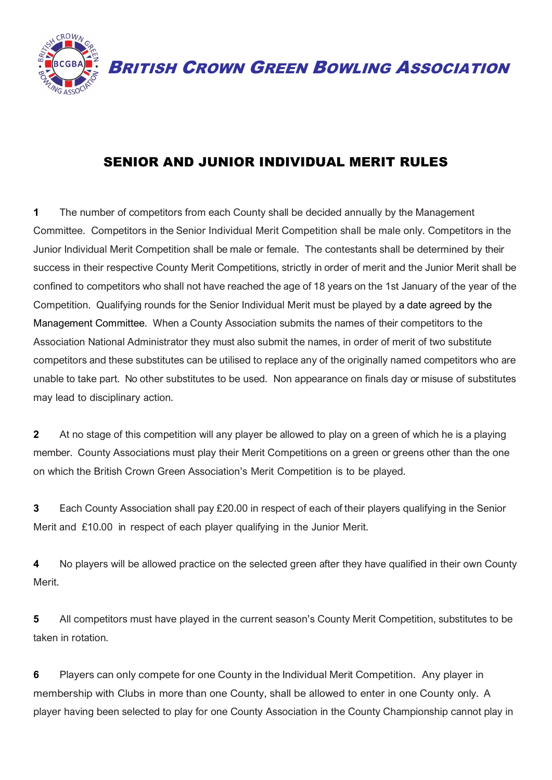

BRITISH CROWN GREEN BOWLING ASSOCIATION

## SENIOR AND JUNIOR INDIVIDUAL MERIT RULES

**1** The number of competitors from each County shall be decided annually by the Management Committee. Competitors in the Senior Individual Merit Competition shall be male only. Competitors in the Junior Individual Merit Competition shall be male or female. The contestants shall be determined by their success in their respective County Merit Competitions, strictly in order of merit and the Junior Merit shall be confined to competitors who shall not have reached the age of 18 years on the 1st January of the year of the Competition. Qualifying rounds for the Senior Individual Merit must be played by a date agreed by the Management Committee. When a County Association submits the names of their competitors to the Association National Administrator they must also submit the names, in order of merit of two substitute competitors and these substitutes can be utilised to replace any of the originally named competitors who are unable to take part. No other substitutes to be used. Non appearance on finals day or misuse of substitutes may lead to disciplinary action.

**2** At no stage of this competition will any player be allowed to play on a green of which he is a playing member. County Associations must play their Merit Competitions on a green or greens other than the one on which the British Crown Green Association's Merit Competition is to be played.

**3** Each County Association shall pay £20.00 in respect of each of their players qualifying in the Senior Merit and £10.00 in respect of each player qualifying in the Junior Merit.

**4** No players will be allowed practice on the selected green after they have qualified in their own County Merit.

**5** All competitors must have played in the current season's County Merit Competition, substitutes to be taken in rotation.

**6** Players can only compete for one County in the Individual Merit Competition. Any player in membership with Clubs in more than one County, shall be allowed to enter in one County only. A player having been selected to play for one County Association in the County Championship cannot play in